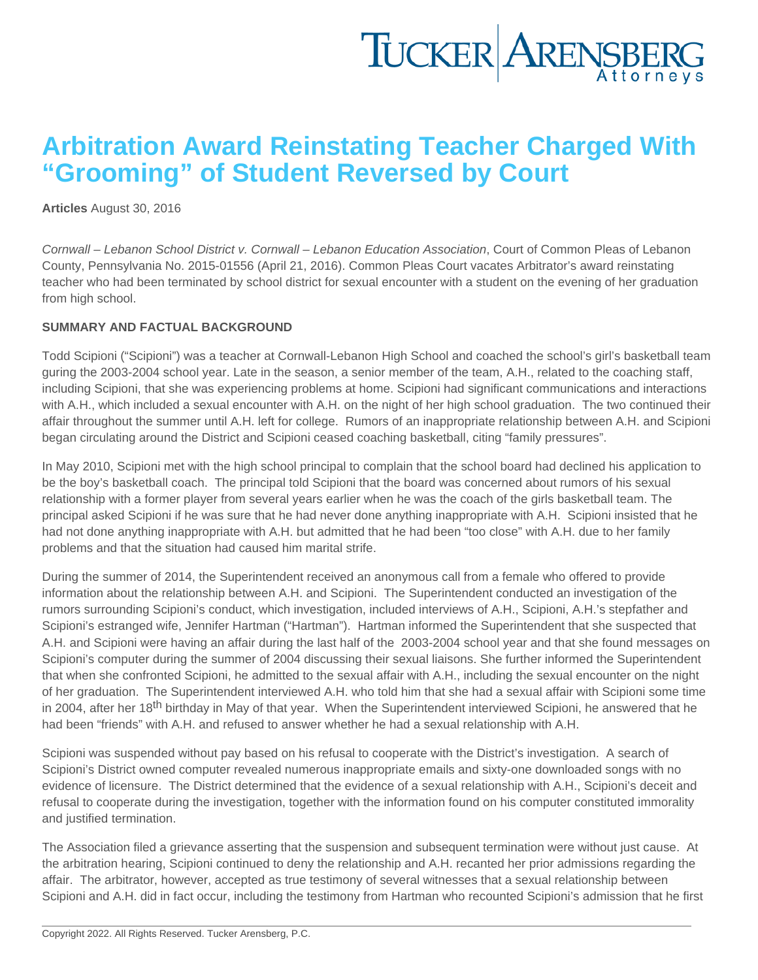## Arbitration Award Reinstating Teacher Charged With "Grooming" of Student Reversed by Court

[Articles](https://www.tuckerlaw.com/category/articles/) August 30, 2016

Cornwall – Lebanon School District v. Cornwall – Lebanon Education Association, Court of Common Pleas of Lebanon County, Pennsylvania No. 2015-01556 (April 21, 2016). Common Pleas Court vacates Arbitrator's award reinstating teacher who had been terminated by school district for sexual encounter with a student on the evening of her graduation from high school.

### SUMMARY AND FACTUAL BACKGROUND

Todd Scipioni ("Scipioni") was a teacher at Cornwall-Lebanon High School and coached the school's girl's basketball team guring the 2003-2004 school year. Late in the season, a senior member of the team, A.H., related to the coaching staff, including Scipioni, that she was experiencing problems at home. Scipioni had significant communications and interactions with A.H., which included a sexual encounter with A.H. on the night of her high school graduation. The two continued their affair throughout the summer until A.H. left for college. Rumors of an inappropriate relationship between A.H. and Scipioni began circulating around the District and Scipioni ceased coaching basketball, citing "family pressures".

In May 2010, Scipioni met with the high school principal to complain that the school board had declined his application to be the boy's basketball coach. The principal told Scipioni that the board was concerned about rumors of his sexual relationship with a former player from several years earlier when he was the coach of the girls basketball team. The principal asked Scipioni if he was sure that he had never done anything inappropriate with A.H. Scipioni insisted that he had not done anything inappropriate with A.H. but admitted that he had been "too close" with A.H. due to her family problems and that the situation had caused him marital strife.

During the summer of 2014, the Superintendent received an anonymous call from a female who offered to provide information about the relationship between A.H. and Scipioni. The Superintendent conducted an investigation of the rumors surrounding Scipioni's conduct, which investigation, included interviews of A.H., Scipioni, A.H.'s stepfather and Scipioni's estranged wife, Jennifer Hartman ("Hartman"). Hartman informed the Superintendent that she suspected that A.H. and Scipioni were having an affair during the last half of the 2003-2004 school year and that she found messages on Scipioni's computer during the summer of 2004 discussing their sexual liaisons. She further informed the Superintendent that when she confronted Scipioni, he admitted to the sexual affair with A.H., including the sexual encounter on the night of her graduation. The Superintendent interviewed A.H. who told him that she had a sexual affair with Scipioni some time in 2004, after her 18<sup>th</sup> birthday in May of that year. When the Superintendent interviewed Scipioni, he answered that he had been "friends" with A.H. and refused to answer whether he had a sexual relationship with A.H.

Scipioni was suspended without pay based on his refusal to cooperate with the District's investigation. A search of Scipioni's District owned computer revealed numerous inappropriate emails and sixty-one downloaded songs with no evidence of licensure. The District determined that the evidence of a sexual relationship with A.H., Scipioni's deceit and refusal to cooperate during the investigation, together with the information found on his computer constituted immorality and justified termination.

The Association filed a grievance asserting that the suspension and subsequent termination were without just cause. At the arbitration hearing, Scipioni continued to deny the relationship and A.H. recanted her prior admissions regarding the affair. The arbitrator, however, accepted as true testimony of several witnesses that a sexual relationship between Scipioni and A.H. did in fact occur, including the testimony from Hartman who recounted Scipioni's admission that he first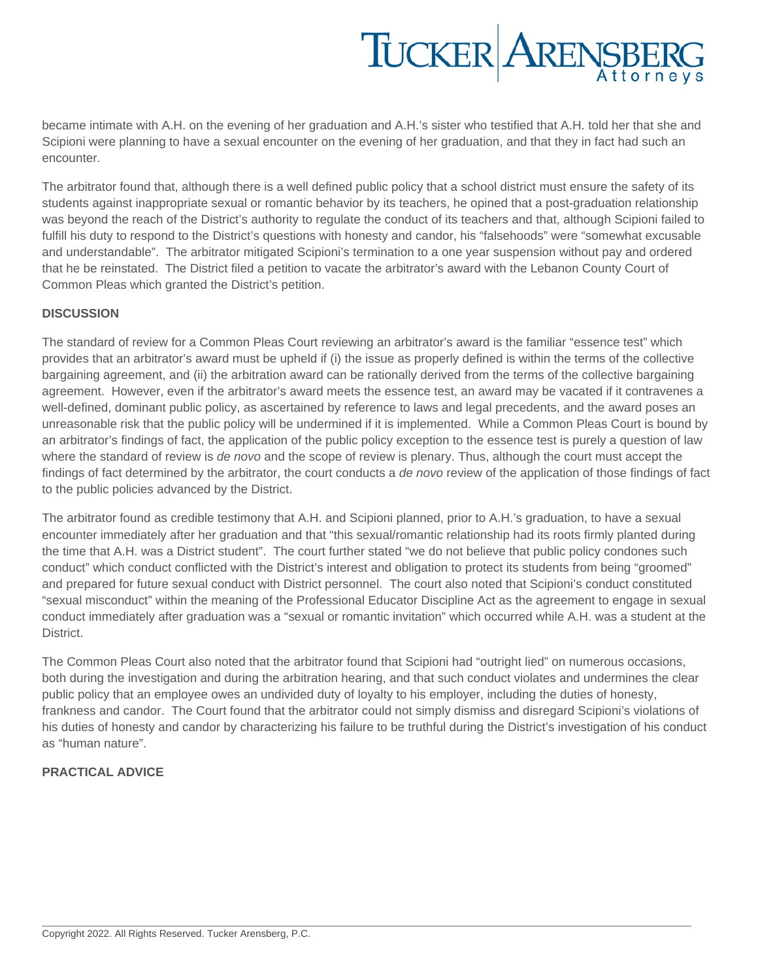# TUCKER ARENSBERG

became intimate with A.H. on the evening of her graduation and A.H.'s sister who testified that A.H. told her that she and Scipioni were planning to have a sexual encounter on the evening of her graduation, and that they in fact had such an encounter.

The arbitrator found that, although there is a well defined public policy that a school district must ensure the safety of its students against inappropriate sexual or romantic behavior by its teachers, he opined that a post-graduation relationship was beyond the reach of the District's authority to regulate the conduct of its teachers and that, although Scipioni failed to fulfill his duty to respond to the District's questions with honesty and candor, his "falsehoods" were "somewhat excusable and understandable". The arbitrator mitigated Scipioni's termination to a one year suspension without pay and ordered that he be reinstated. The District filed a petition to vacate the arbitrator's award with the Lebanon County Court of Common Pleas which granted the District's petition.

### **DISCUSSION**

The standard of review for a Common Pleas Court reviewing an arbitrator's award is the familiar "essence test" which provides that an arbitrator's award must be upheld if (i) the issue as properly defined is within the terms of the collective bargaining agreement, and (ii) the arbitration award can be rationally derived from the terms of the collective bargaining agreement. However, even if the arbitrator's award meets the essence test, an award may be vacated if it contravenes a well-defined, dominant public policy, as ascertained by reference to laws and legal precedents, and the award poses an unreasonable risk that the public policy will be undermined if it is implemented. While a Common Pleas Court is bound by an arbitrator's findings of fact, the application of the public policy exception to the essence test is purely a question of law where the standard of review is de novo and the scope of review is plenary. Thus, although the court must accept the findings of fact determined by the arbitrator, the court conducts a de novo review of the application of those findings of fact to the public policies advanced by the District.

The arbitrator found as credible testimony that A.H. and Scipioni planned, prior to A.H.'s graduation, to have a sexual encounter immediately after her graduation and that "this sexual/romantic relationship had its roots firmly planted during the time that A.H. was a District student". The court further stated "we do not believe that public policy condones such conduct" which conduct conflicted with the District's interest and obligation to protect its students from being "groomed" and prepared for future sexual conduct with District personnel. The court also noted that Scipioni's conduct constituted "sexual misconduct" within the meaning of the Professional Educator Discipline Act as the agreement to engage in sexual conduct immediately after graduation was a "sexual or romantic invitation" which occurred while A.H. was a student at the District.

The Common Pleas Court also noted that the arbitrator found that Scipioni had "outright lied" on numerous occasions, both during the investigation and during the arbitration hearing, and that such conduct violates and undermines the clear public policy that an employee owes an undivided duty of loyalty to his employer, including the duties of honesty, frankness and candor. The Court found that the arbitrator could not simply dismiss and disregard Scipioni's violations of his duties of honesty and candor by characterizing his failure to be truthful during the District's investigation of his conduct as "human nature".

#### **PRACTICAL ADVICE**